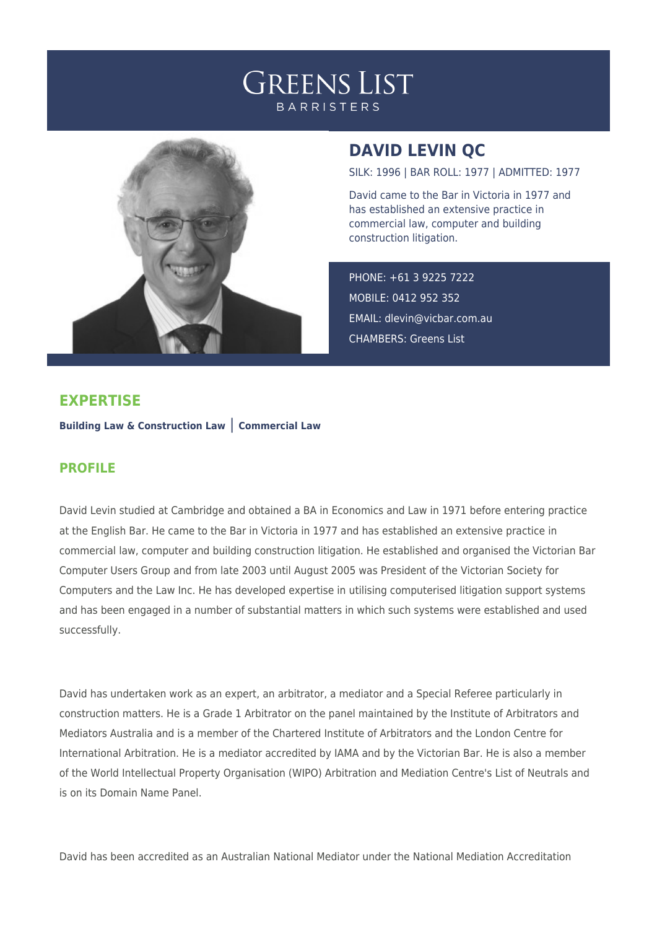



## **DAVID LEVIN QC**

SILK: 1996 | BAR ROLL: 1977 | ADMITTED: 1977

David came to the Bar in Victoria in 1977 and has established an extensive practice in commercial law, computer and building construction litigation.

PHONE: +61 3 9225 7222 MOBILE: 0412 952 352 EMAIL: [dlevin@vicbar.com.au](mailto:dlevin@vicbar.com.au) CHAMBERS: Greens List

## **EXPERTISE**

**Building Law & Construction Law** | **Commercial Law**

## **PROFILE**

David Levin studied at Cambridge and obtained a BA in Economics and Law in 1971 before entering practice at the English Bar. He came to the Bar in Victoria in 1977 and has established an extensive practice in commercial law, computer and building construction litigation. He established and organised the Victorian Bar Computer Users Group and from late 2003 until August 2005 was President of the Victorian Society for Computers and the Law Inc. He has developed expertise in utilising computerised litigation support systems and has been engaged in a number of substantial matters in which such systems were established and used successfully.

David has undertaken work as an expert, an arbitrator, a mediator and a Special Referee particularly in construction matters. He is a Grade 1 Arbitrator on the panel maintained by the Institute of Arbitrators and Mediators Australia and is a member of the Chartered Institute of Arbitrators and the London Centre for International Arbitration. He is a mediator accredited by IAMA and by the Victorian Bar. He is also a member of the World Intellectual Property Organisation (WIPO) Arbitration and Mediation Centre's List of Neutrals and is on its Domain Name Panel.

David has been accredited as an Australian National Mediator under the National Mediation Accreditation